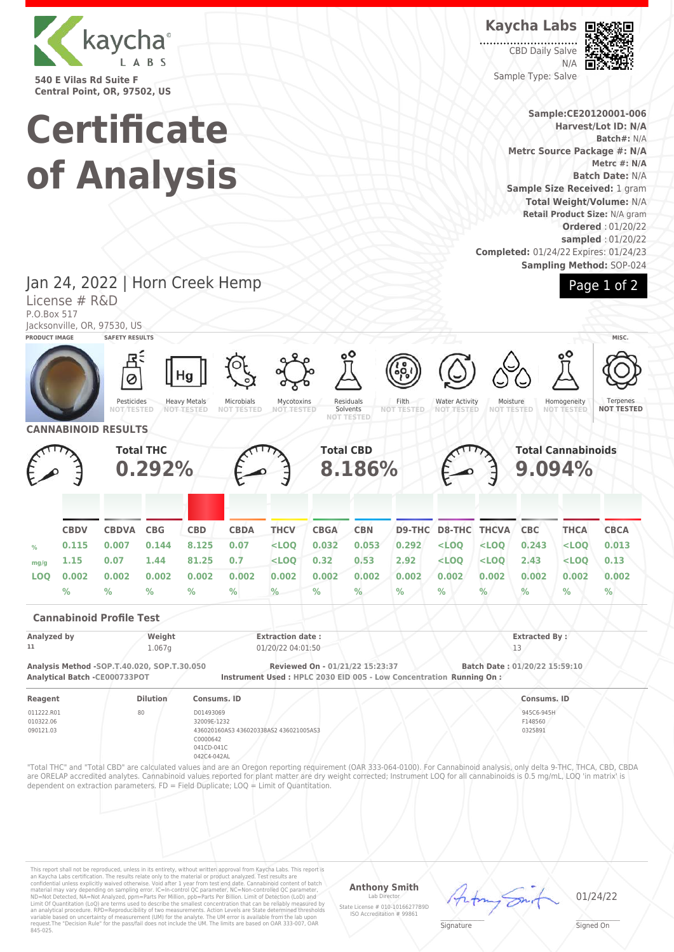

**540 E Vilas Rd Suite F Central Point, OR, 97502, US**

License # R&D

# **Certificate of Analysis**

Jan 24, 2022 | Horn Creek Hemp

**Kaycha Labs**

CBD Daily Salve N/A Sample Type: Salve



**Sample:CE20120001-006 Harvest/Lot ID: N/A Batch#:** N/A **Metrc Source Package #: N/A Metrc #: N/A Batch Date:** N/A **Sample Size Received:** 1 gram **Total Weight/Volume:** N/A **Retail Product Size:** N/A gram **Ordered** : 01/20/22 **sampled** : 01/20/22 **Completed:** 01/24/22 Expires: 01/24/23 **Sampling Method:** SOP-024



P.O.Box 517 Jacksonville, OR, 97530, US **PRODUCT IMAGE SAFETY RESULTS MISC.** Hg Ø Pesticides Residuals Heavy Metals Microbials Mycotoxins Filth<br>NOT TES Water Activity Moisture<br>NOT TEST Homogeneity **Terpenes NOT TESTED NOT TESTED NOT TESTED** Solvents<br>NOT TEST **NOT TESTED NOT TESTED NOT TESTED NOT TESTED NOT TESTED NOT TESTED NOT TESTED CANNABINOID RESULTS Total THC Total CBD Total Cannabinoids 8.186% 0.292% 9.094% CBDV CBDVA CBG CBD CBDA THCV CBGA CBN D9-THC D8-THC THCVA CBC THCA CBCA % 0.115 0.007 0.144 8.125 0.07 <LOQ 0.032 0.053 0.292 <LOQ <LOQ 0.243 <LOQ 0.013 mg/g 1.15 0.07 1.44 81.25 0.7 <LOQ 0.32 0.53 2.92 <LOQ <LOQ 2.43 <LOQ 0.13 LOQ 0.002 0.002 0.002 0.002 0.002 0.002 0.002 0.002 0.002 0.002 0.002 0.002 0.002 0.002 % % % % % % % % % % % % % % Cannabinoid Profile Test Analyzed by Weight Extraction date : Extracted By : 11** 1.067g 01/20/22 04:01:50 13 **Analysis Method -SOP.T.40.020, SOP.T.30.050 Reviewed On - 01/21/22 15:23:37 Batch Date : 01/20/22 15:59:10 Analytical Batch -CE000733POT Instrument Used : HPLC 2030 EID 005 - Low Concentration Running On : Reagent Dilution Consums. ID Consums. ID** 011222.R01 80 D01493069 945C6-945H 010322.06 32009E-1232 F148560 090121.03 436020160AS3 436020338AS2 436021005AS3 0325891 C0000642 041CD-041C 042C4-042AL "Total THC" and "Total CBD" are calculated values and are an Oregon reporting requirement (OAR 333-064-0100). For Cannabinoid analysis, only delta 9-THC, THCA, CBD, CBDA are ORELAP accredited analytes. Cannabinoid values reported for plant matter are dry weight corrected; Instrument LOQ for all cannabinoids is 0.5 mg/mL, LOQ 'in matrix' is dependent on extraction parameters. FD = Field Duplicate; LOQ = Limit of Quantitation.

This report shall not be reproduced, unless in its entirety, without written approval from Kaycha Labs. This report is<br>an Kaycha Labs certification. The results relate only to the material or product analyzed. Test result

#### **Anthony Smith**

Lab Director State License # 010-10166277B9D ISO Accreditation # 99861 01/24/22

 $\mathscr{L}\setminus\mathscr{L}$ **Signature** 

Signed On